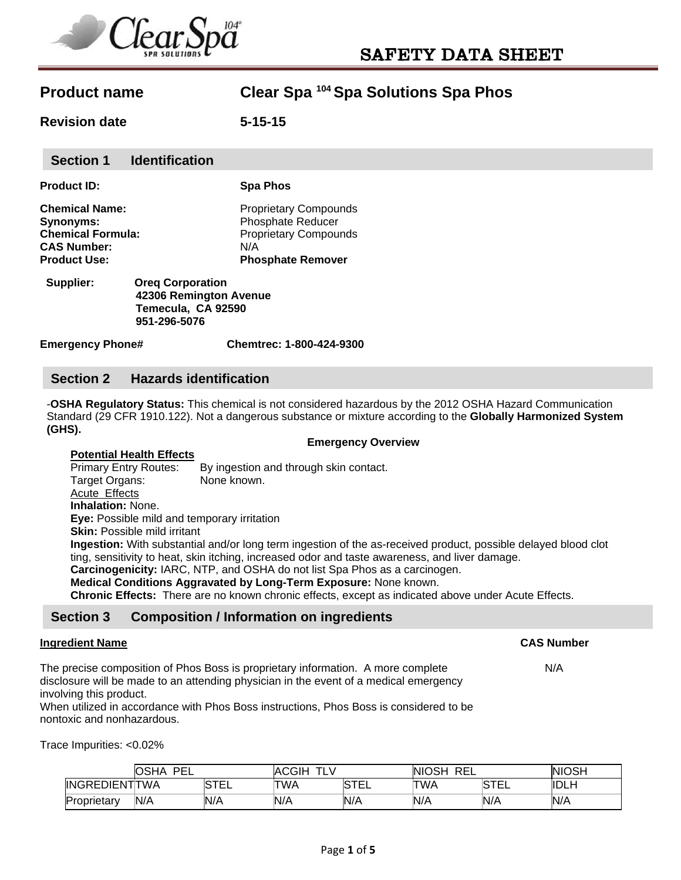

**Revision date 5-15-15** 

| <b>Product ID:</b>       | <b>Spa Phos</b>              |
|--------------------------|------------------------------|
| <b>Chemical Name:</b>    | <b>Proprietary Compounds</b> |
| Synonyms:                | <b>Phosphate Reducer</b>     |
| <b>Chemical Formula:</b> | <b>Proprietary Compounds</b> |
| <b>CAS Number:</b>       | N/A                          |
| <b>Product Use:</b>      | <b>Phosphate Remover</b>     |
|                          |                              |

 **Supplier: Oreq Corporation 42306 Remington Avenue Temecula, CA 92590 951-296-5076** 

**Emergency Phone# Chemtrec: 1-800-424-9300** 

#### **Section 2 Hazards identification**

-**OSHA Regulatory Status:** This chemical is not considered hazardous by the 2012 OSHA Hazard Communication Standard (29 CFR 1910.122). Not a dangerous substance or mixture according to the **Globally Harmonized System (GHS).** 

**Emergency Overview** 

#### **Potential Health Effects**

Primary Entry Routes: By ingestion and through skin contact. Target Organs: None known. Acute Effects **Inhalation:** None.

**Eye:** Possible mild and temporary irritation

**Skin:** Possible mild irritant

**Ingestion:** With substantial and/or long term ingestion of the as-received product, possible delayed blood clot ting, sensitivity to heat, skin itching, increased odor and taste awareness, and liver damage.

**Carcinogenicity:** IARC, NTP, and OSHA do not list Spa Phos as a carcinogen.

**Medical Conditions Aggravated by Long-Term Exposure:** None known.

**Chronic Effects:** There are no known chronic effects, except as indicated above under Acute Effects.

## **Section 3 Composition / Information on ingredients**

#### **Ingredient Name CAS Number**

The precise composition of Phos Boss is proprietary information. A more complete N/A disclosure will be made to an attending physician in the event of a medical emergency involving this product.

When utilized in accordance with Phos Boss instructions, Phos Boss is considered to be nontoxic and nonhazardous.

Trace Impurities: <0.02%

|                       | OSHA<br>PFI<br>-- |          | CGIH<br>--<br>™A∟<br><u>.</u> |             | <b>NIOSH</b><br>REL |                       | <b>NIOSH</b> |
|-----------------------|-------------------|----------|-------------------------------|-------------|---------------------|-----------------------|--------------|
| <b>INGREDIENTITWA</b> |                   | ाम<br>__ | TWA                           | <b>STEL</b> | TWA                 | <b>RTE</b><br>ັ<br>__ | <b>IDLH</b>  |
| Proprietary           | N/A               | N/A      | N/A                           | N/A         | N/A                 | N/A                   | 'N/A         |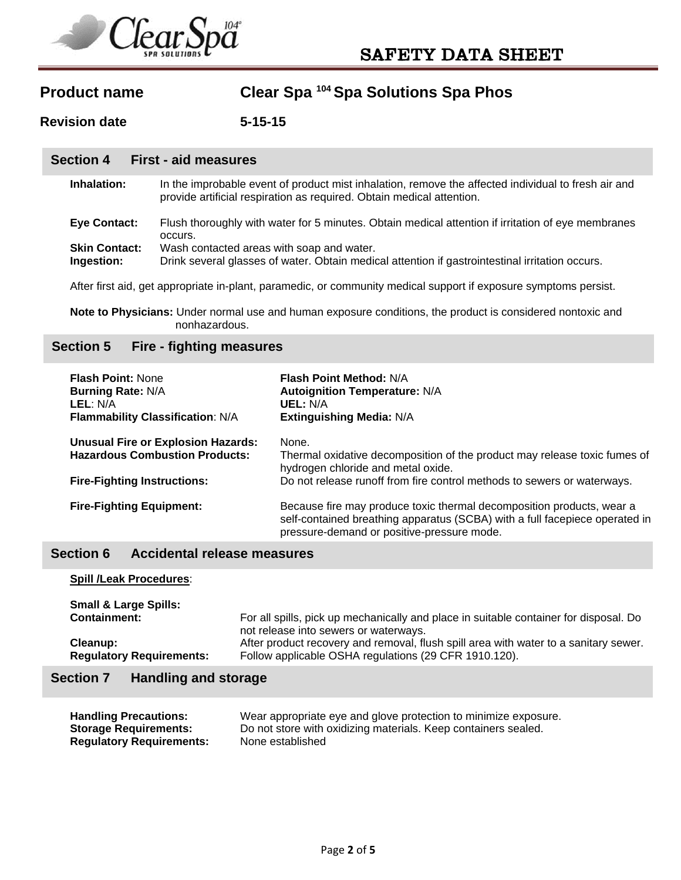

**Revision date 5-15-15** 

#### **Section 4 First - aid measures**

| Inhalation: | In the improbable event of product mist inhalation, remove the affected individual to fresh air and |
|-------------|-----------------------------------------------------------------------------------------------------|
|             | provide artificial respiration as required. Obtain medical attention.                               |

| <b>Eye Contact:</b> | Flush thoroughly with water for 5 minutes. Obtain medical attention if irritation of eye membranes |
|---------------------|----------------------------------------------------------------------------------------------------|
|                     | occurs.                                                                                            |
| Chin Cantonti       | $M$ oob contacted areas with seen and water                                                        |

**Skin Contact:** Wash contacted areas with soap and water.

**Ingestion:** Drink several glasses of water. Obtain medical attention if gastrointestinal irritation occurs.

After first aid, get appropriate in-plant, paramedic, or community medical support if exposure symptoms persist.

**Note to Physicians:** Under normal use and human exposure conditions, the product is considered nontoxic and nonhazardous.

### **Section 5 Fire - fighting measures**

| <b>Flash Point: None</b><br><b>Burning Rate: N/A</b><br>LEL: N/A<br>Flammability Classification: N/A | <b>Flash Point Method: N/A</b><br><b>Autoignition Temperature: N/A</b><br>UEL: N/A<br><b>Extinguishing Media: N/A</b>                                                                              |
|------------------------------------------------------------------------------------------------------|----------------------------------------------------------------------------------------------------------------------------------------------------------------------------------------------------|
| <b>Unusual Fire or Explosion Hazards:</b><br><b>Hazardous Combustion Products:</b>                   | None.<br>Thermal oxidative decomposition of the product may release toxic fumes of<br>hydrogen chloride and metal oxide.                                                                           |
| <b>Fire-Fighting Instructions:</b>                                                                   | Do not release runoff from fire control methods to sewers or waterways.                                                                                                                            |
| <b>Fire-Fighting Equipment:</b>                                                                      | Because fire may produce toxic thermal decomposition products, wear a<br>self-contained breathing apparatus (SCBA) with a full facepiece operated in<br>pressure-demand or positive-pressure mode. |

## **Section 6 Accidental release measures**

| <b>Spill /Leak Procedures:</b>   |                                                                                       |
|----------------------------------|---------------------------------------------------------------------------------------|
| <b>Small &amp; Large Spills:</b> | For all spills, pick up mechanically and place in suitable container for disposal. Do |
| <b>Containment:</b>              | not release into sewers or waterways.                                                 |
| Cleanup:                         | After product recovery and removal, flush spill area with water to a sanitary sewer.  |
| <b>Regulatory Requirements:</b>  | Follow applicable OSHA regulations (29 CFR 1910.120).                                 |

## **Section 7 Handling and storage**

| <b>Handling Precautions:</b>    | Wear appropriate eye and glove protection to minimize exposure. |
|---------------------------------|-----------------------------------------------------------------|
| <b>Storage Requirements:</b>    | Do not store with oxidizing materials. Keep containers sealed.  |
| <b>Regulatory Requirements:</b> | None established                                                |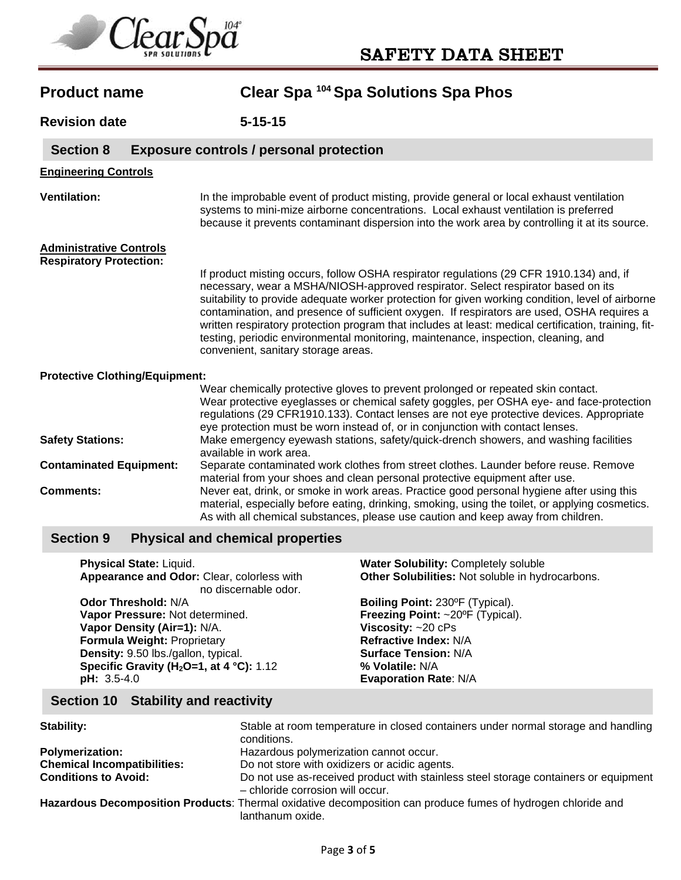

| <b>Product name</b>                                              | Clear Spa 104 Spa Solutions Spa Phos                                                                                                                                                                                                                                                                                                                                                                                                                                                                                                                                                                               |
|------------------------------------------------------------------|--------------------------------------------------------------------------------------------------------------------------------------------------------------------------------------------------------------------------------------------------------------------------------------------------------------------------------------------------------------------------------------------------------------------------------------------------------------------------------------------------------------------------------------------------------------------------------------------------------------------|
| <b>Revision date</b>                                             | $5 - 15 - 15$                                                                                                                                                                                                                                                                                                                                                                                                                                                                                                                                                                                                      |
| <b>Section 8</b>                                                 | <b>Exposure controls / personal protection</b>                                                                                                                                                                                                                                                                                                                                                                                                                                                                                                                                                                     |
| <b>Engineering Controls</b>                                      |                                                                                                                                                                                                                                                                                                                                                                                                                                                                                                                                                                                                                    |
| <b>Ventilation:</b>                                              | In the improbable event of product misting, provide general or local exhaust ventilation<br>systems to mini-mize airborne concentrations. Local exhaust ventilation is preferred<br>because it prevents contaminant dispersion into the work area by controlling it at its source.                                                                                                                                                                                                                                                                                                                                 |
| <b>Administrative Controls</b><br><b>Respiratory Protection:</b> | If product misting occurs, follow OSHA respirator regulations (29 CFR 1910.134) and, if<br>necessary, wear a MSHA/NIOSH-approved respirator. Select respirator based on its<br>suitability to provide adequate worker protection for given working condition, level of airborne<br>contamination, and presence of sufficient oxygen. If respirators are used, OSHA requires a<br>written respiratory protection program that includes at least: medical certification, training, fit-<br>testing, periodic environmental monitoring, maintenance, inspection, cleaning, and<br>convenient, sanitary storage areas. |
| <b>Protective Clothing/Equipment:</b><br><b>Safety Stations:</b> | Wear chemically protective gloves to prevent prolonged or repeated skin contact.<br>Wear protective eyeglasses or chemical safety goggles, per OSHA eye- and face-protection<br>regulations (29 CFR1910.133). Contact lenses are not eye protective devices. Appropriate<br>eye protection must be worn instead of, or in conjunction with contact lenses.<br>Make emergency eyewash stations, safety/quick-drench showers, and washing facilities                                                                                                                                                                 |
| <b>Contaminated Equipment:</b>                                   | available in work area.<br>Separate contaminated work clothes from street clothes. Launder before reuse. Remove<br>material from your shoes and clean personal protective equipment after use.                                                                                                                                                                                                                                                                                                                                                                                                                     |
| <b>Comments:</b>                                                 | Never eat, drink, or smoke in work areas. Practice good personal hygiene after using this<br>material, especially before eating, drinking, smoking, using the toilet, or applying cosmetics.<br>As with all chemical substances, please use caution and keep away from children.                                                                                                                                                                                                                                                                                                                                   |
|                                                                  | <b>The Committee Committee Committee Committee Committee Committee</b>                                                                                                                                                                                                                                                                                                                                                                                                                                                                                                                                             |

#### **Section 9 Physical and chemical properties**

| Physical State: Liquid.                                            | Water Solubility: Completely soluble             |
|--------------------------------------------------------------------|--------------------------------------------------|
| Appearance and Odor: Clear, colorless with<br>no discernable odor. | Other Solubilities: Not soluble in hydrocarbons. |
| <b>Odor Threshold: N/A</b>                                         | Boiling Point: 230°F (Typical).                  |
| Vapor Pressure: Not determined.                                    | Freezing Point: ~20°F (Typical).                 |
| Vapor Density (Air=1): N/A.                                        | Viscosity: $\sim$ 20 cPs                         |
| Formula Weight: Proprietary                                        | Refractive Index: N/A                            |
| Density: 9.50 lbs./gallon, typical.                                | <b>Surface Tension: N/A</b>                      |
| Specific Gravity ( $H_2$ O=1, at 4 °C): 1.12                       | % Volatile: N/A                                  |
| $pH: 3.5-4.0$                                                      | <b>Evaporation Rate: N/A</b>                     |

# **Section 10 Stability and reactivity**

| Stability:                         | Stable at room temperature in closed containers under normal storage and handling<br>conditions.                                 |
|------------------------------------|----------------------------------------------------------------------------------------------------------------------------------|
| <b>Polymerization:</b>             | Hazardous polymerization cannot occur.                                                                                           |
| <b>Chemical Incompatibilities:</b> | Do not store with oxidizers or acidic agents.                                                                                    |
| <b>Conditions to Avoid:</b>        | Do not use as-received product with stainless steel storage containers or equipment<br>- chloride corrosion will occur.          |
|                                    | Hazardous Decomposition Products: Thermal oxidative decomposition can produce fumes of hydrogen chloride and<br>lanthanum oxide. |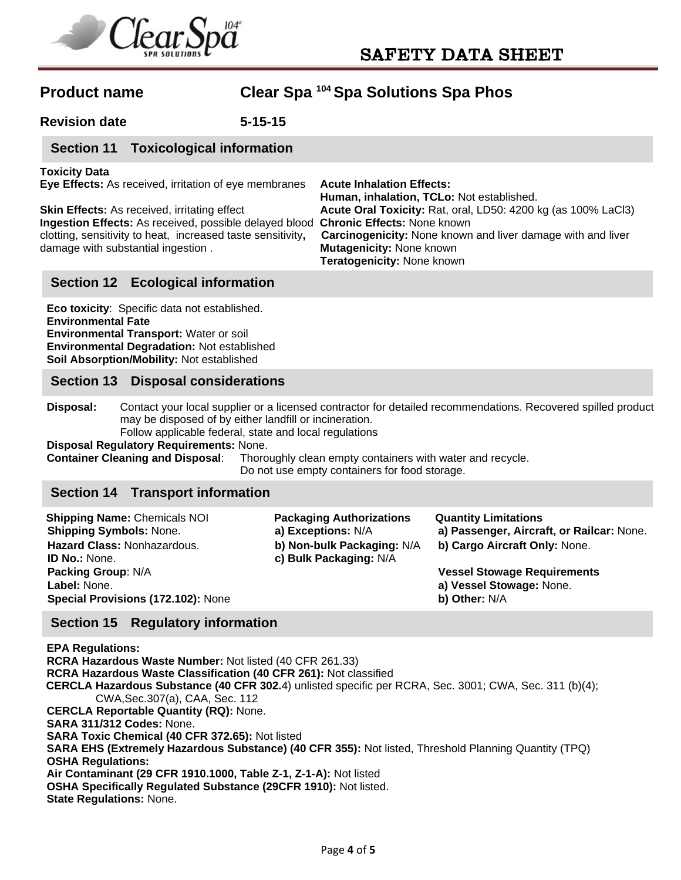

**Revision date 5-15-15** 

## **Section 11 Toxicological information**

#### **Toxicity Data**

**Eye Effects:** As received, irritation of eye membranes **Acute Inhalation Effects:**

**Ingestion Effects:** As received, possible delayed blood **Chronic Effects:** None known damage with substantial ingestion . **Mutagenicity:** None known

 **Human, inhalation, TCLo:** Not established. **Skin Effects:** As received, irritating effect **Acute Oral Toxicity:** Rat, oral, LD50: 4200 kg (as 100% LaCl3) clotting, sensitivity to heat, increased taste sensitivity**, Carcinogenicity:** None known and liver damage with and liver **Teratogenicity:** None known

## **Section 12 Ecological information**

**Eco toxicity**: Specific data not established. **Environmental Fate Environmental Transport:** Water or soil **Environmental Degradation:** Not established **Soil Absorption/Mobility:** Not established

### **Section 13 Disposal considerations**

**Disposal:** Contact your local supplier or a licensed contractor for detailed recommendations. Recovered spilled product may be disposed of by either landfill or incineration.

Follow applicable federal, state and local regulations

**Disposal Regulatory Requirements:** None.

**Container Cleaning and Disposal**: Thoroughly clean empty containers with water and recycle. Do not use empty containers for food storage.

### **Section 14 Transport information**

| <b>Shipping Name: Chemicals NOI</b> | <b>Packaging Authorizations</b> | <b>Quantity Limitations</b>               |
|-------------------------------------|---------------------------------|-------------------------------------------|
| <b>Shipping Symbols: None.</b>      | a) Exceptions: N/A              | a) Passenger, Aircraft, or Railcar: None. |
| Hazard Class: Nonhazardous.         | b) Non-bulk Packaging: N/A      | b) Cargo Aircraft Only: None.             |
| <b>ID No.: None.</b>                | c) Bulk Packaging: N/A          |                                           |
| <b>Packing Group: N/A</b>           |                                 | <b>Vessel Stowage Requirements</b>        |
| Label: None.                        |                                 | a) Vessel Stowage: None.                  |
| Special Provisions (172.102): None  |                                 | b) Other: N/A                             |

### **Section 15 Regulatory information**

**EPA Regulations: RCRA Hazardous Waste Number:** Not listed (40 CFR 261.33) **RCRA Hazardous Waste Classification (40 CFR 261):** Not classified  **CERCLA Hazardous Substance (40 CFR 302.**4) unlisted specific per RCRA, Sec. 3001; CWA, Sec. 311 (b)(4); CWA,Sec.307(a), CAA, Sec. 112 **CERCLA Reportable Quantity (RQ):** None. **SARA 311/312 Codes:** None. **SARA Toxic Chemical (40 CFR 372.65):** Not listed **SARA EHS (Extremely Hazardous Substance) (40 CFR 355):** Not listed, Threshold Planning Quantity (TPQ) **OSHA Regulations: Air Contaminant (29 CFR 1910.1000, Table Z-1, Z-1-A):** Not listed **OSHA Specifically Regulated Substance (29CFR 1910):** Not listed. **State Regulations:** None.